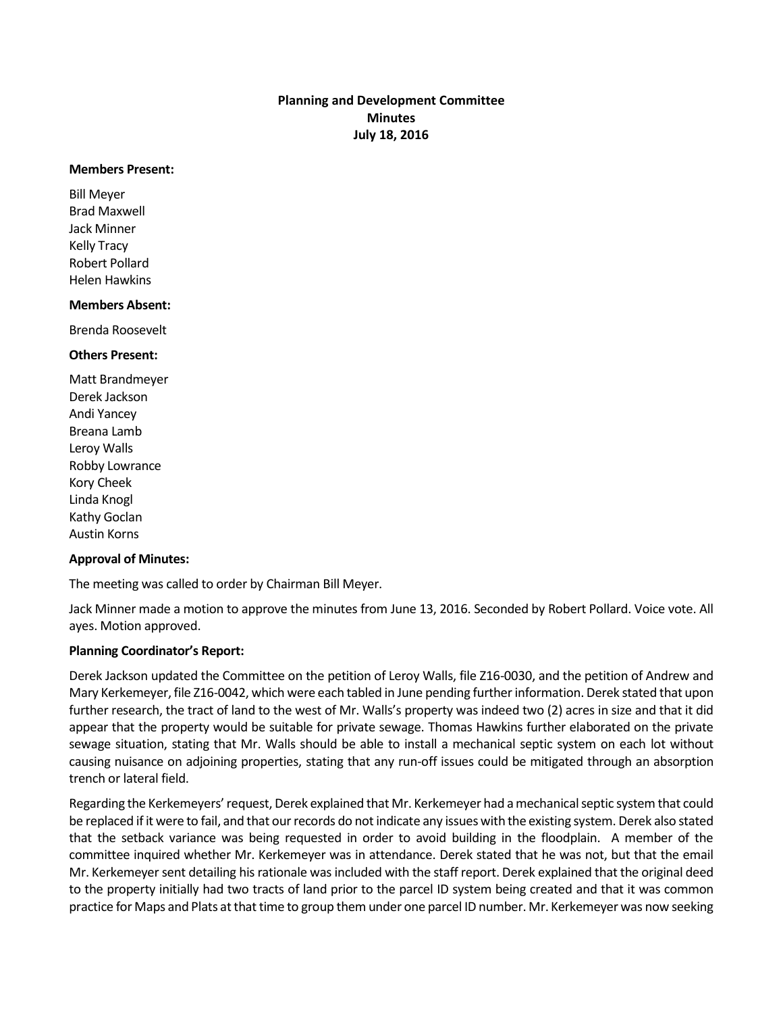# **Planning and Development Committee Minutes July 18, 2016**

#### **Members Present:**

Bill Meyer Brad Maxwell Jack Minner Kelly Tracy Robert Pollard Helen Hawkins

## **Members Absent:**

Brenda Roosevelt

## **Others Present:**

Matt Brandmeyer Derek Jackson Andi Yancey Breana Lamb Leroy Walls Robby Lowrance Kory Cheek Linda Knogl Kathy Goclan Austin Korns

## **Approval of Minutes:**

The meeting was called to order by Chairman Bill Meyer.

Jack Minner made a motion to approve the minutes from June 13, 2016. Seconded by Robert Pollard. Voice vote. All ayes. Motion approved.

## **Planning Coordinator's Report:**

Derek Jackson updated the Committee on the petition of Leroy Walls, file Z16-0030, and the petition of Andrew and Mary Kerkemeyer, file Z16-0042, which were each tabled in June pending further information. Derek stated that upon further research, the tract of land to the west of Mr. Walls's property was indeed two (2) acres in size and that it did appear that the property would be suitable for private sewage. Thomas Hawkins further elaborated on the private sewage situation, stating that Mr. Walls should be able to install a mechanical septic system on each lot without causing nuisance on adjoining properties, stating that any run-off issues could be mitigated through an absorption trench or lateral field.

Regarding the Kerkemeyers'request, Derek explained that Mr. Kerkemeyer had a mechanical septic system that could be replaced if it were to fail, and that our records do not indicate any issues with the existing system. Derek also stated that the setback variance was being requested in order to avoid building in the floodplain. A member of the committee inquired whether Mr. Kerkemeyer was in attendance. Derek stated that he was not, but that the email Mr. Kerkemeyer sent detailing his rationale was included with the staff report. Derek explained that the original deed to the property initially had two tracts of land prior to the parcel ID system being created and that it was common practice for Maps and Plats at that time to group them under one parcel ID number. Mr. Kerkemeyer was now seeking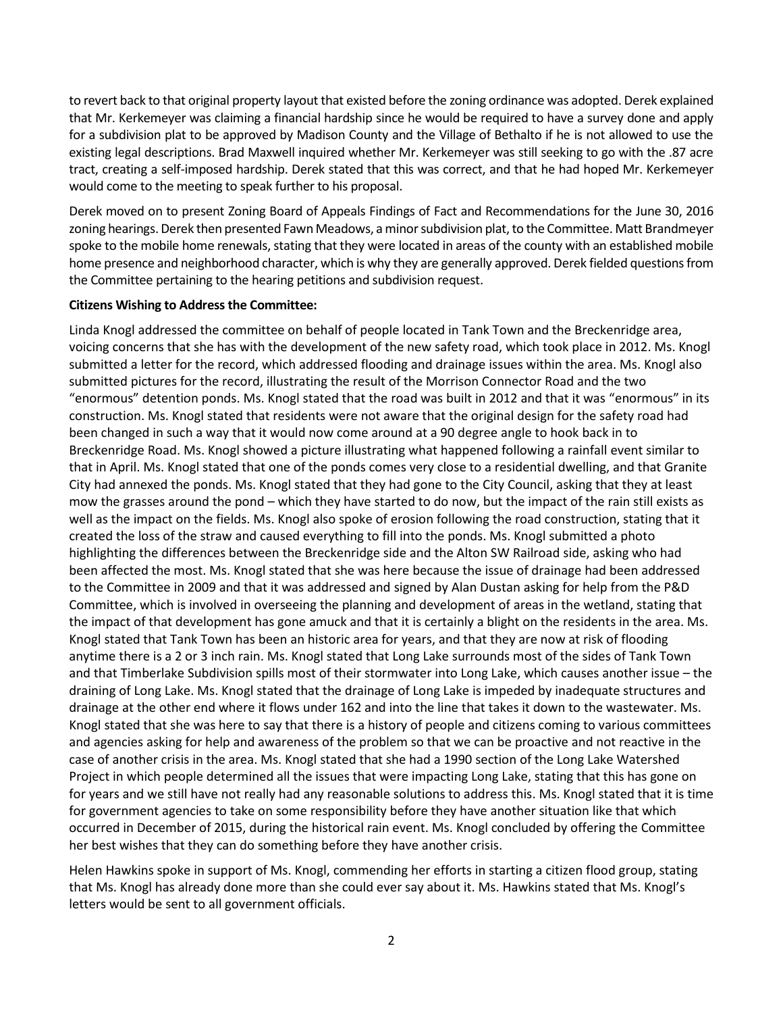to revert back to that original property layout that existed before the zoning ordinance was adopted. Derek explained that Mr. Kerkemeyer was claiming a financial hardship since he would be required to have a survey done and apply for a subdivision plat to be approved by Madison County and the Village of Bethalto if he is not allowed to use the existing legal descriptions. Brad Maxwell inquired whether Mr. Kerkemeyer was still seeking to go with the .87 acre tract, creating a self-imposed hardship. Derek stated that this was correct, and that he had hoped Mr. Kerkemeyer would come to the meeting to speak further to his proposal.

Derek moved on to present Zoning Board of Appeals Findings of Fact and Recommendations for the June 30, 2016 zoning hearings. Derek then presented Fawn Meadows, a minor subdivision plat, to the Committee. Matt Brandmeyer spoke to the mobile home renewals, stating that they were located in areas of the county with an established mobile home presence and neighborhood character, which is why they are generally approved. Derek fielded questions from the Committee pertaining to the hearing petitions and subdivision request.

## **Citizens Wishing to Address the Committee:**

Linda Knogl addressed the committee on behalf of people located in Tank Town and the Breckenridge area, voicing concerns that she has with the development of the new safety road, which took place in 2012. Ms. Knogl submitted a letter for the record, which addressed flooding and drainage issues within the area. Ms. Knogl also submitted pictures for the record, illustrating the result of the Morrison Connector Road and the two "enormous" detention ponds. Ms. Knogl stated that the road was built in 2012 and that it was "enormous" in its construction. Ms. Knogl stated that residents were not aware that the original design for the safety road had been changed in such a way that it would now come around at a 90 degree angle to hook back in to Breckenridge Road. Ms. Knogl showed a picture illustrating what happened following a rainfall event similar to that in April. Ms. Knogl stated that one of the ponds comes very close to a residential dwelling, and that Granite City had annexed the ponds. Ms. Knogl stated that they had gone to the City Council, asking that they at least mow the grasses around the pond – which they have started to do now, but the impact of the rain still exists as well as the impact on the fields. Ms. Knogl also spoke of erosion following the road construction, stating that it created the loss of the straw and caused everything to fill into the ponds. Ms. Knogl submitted a photo highlighting the differences between the Breckenridge side and the Alton SW Railroad side, asking who had been affected the most. Ms. Knogl stated that she was here because the issue of drainage had been addressed to the Committee in 2009 and that it was addressed and signed by Alan Dustan asking for help from the P&D Committee, which is involved in overseeing the planning and development of areas in the wetland, stating that the impact of that development has gone amuck and that it is certainly a blight on the residents in the area. Ms. Knogl stated that Tank Town has been an historic area for years, and that they are now at risk of flooding anytime there is a 2 or 3 inch rain. Ms. Knogl stated that Long Lake surrounds most of the sides of Tank Town and that Timberlake Subdivision spills most of their stormwater into Long Lake, which causes another issue – the draining of Long Lake. Ms. Knogl stated that the drainage of Long Lake is impeded by inadequate structures and drainage at the other end where it flows under 162 and into the line that takes it down to the wastewater. Ms. Knogl stated that she was here to say that there is a history of people and citizens coming to various committees and agencies asking for help and awareness of the problem so that we can be proactive and not reactive in the case of another crisis in the area. Ms. Knogl stated that she had a 1990 section of the Long Lake Watershed Project in which people determined all the issues that were impacting Long Lake, stating that this has gone on for years and we still have not really had any reasonable solutions to address this. Ms. Knogl stated that it is time for government agencies to take on some responsibility before they have another situation like that which occurred in December of 2015, during the historical rain event. Ms. Knogl concluded by offering the Committee her best wishes that they can do something before they have another crisis.

Helen Hawkins spoke in support of Ms. Knogl, commending her efforts in starting a citizen flood group, stating that Ms. Knogl has already done more than she could ever say about it. Ms. Hawkins stated that Ms. Knogl's letters would be sent to all government officials.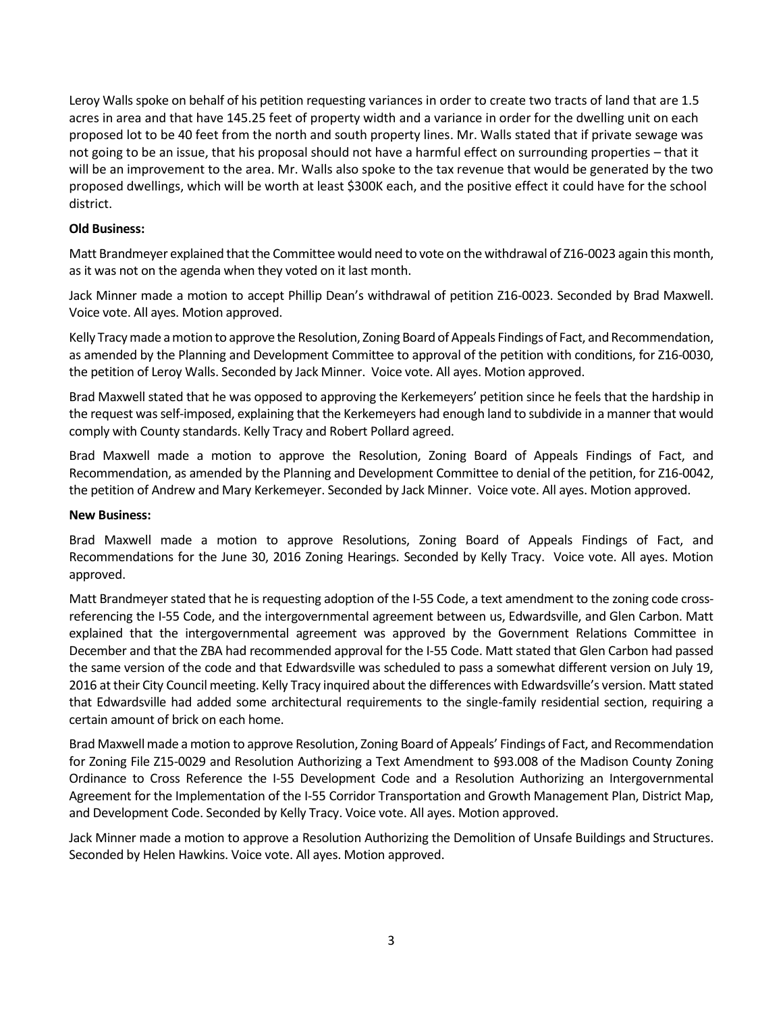Leroy Walls spoke on behalf of his petition requesting variances in order to create two tracts of land that are 1.5 acres in area and that have 145.25 feet of property width and a variance in order for the dwelling unit on each proposed lot to be 40 feet from the north and south property lines. Mr. Walls stated that if private sewage was not going to be an issue, that his proposal should not have a harmful effect on surrounding properties – that it will be an improvement to the area. Mr. Walls also spoke to the tax revenue that would be generated by the two proposed dwellings, which will be worth at least \$300K each, and the positive effect it could have for the school district.

# **Old Business:**

Matt Brandmeyer explained that the Committee would need to vote on the withdrawal of Z16-0023 again this month, as it was not on the agenda when they voted on it last month.

Jack Minner made a motion to accept Phillip Dean's withdrawal of petition Z16-0023. Seconded by Brad Maxwell. Voice vote. All ayes. Motion approved.

Kelly Tracymade a motion to approve the Resolution, Zoning Board of Appeals Findings of Fact, and Recommendation, as amended by the Planning and Development Committee to approval of the petition with conditions, for Z16-0030, the petition of Leroy Walls. Seconded by Jack Minner. Voice vote. All ayes. Motion approved.

Brad Maxwell stated that he was opposed to approving the Kerkemeyers' petition since he feels that the hardship in the request was self-imposed, explaining that the Kerkemeyers had enough land to subdivide in a manner that would comply with County standards. Kelly Tracy and Robert Pollard agreed.

Brad Maxwell made a motion to approve the Resolution, Zoning Board of Appeals Findings of Fact, and Recommendation, as amended by the Planning and Development Committee to denial of the petition, for Z16-0042, the petition of Andrew and Mary Kerkemeyer. Seconded by Jack Minner. Voice vote. All ayes. Motion approved.

# **New Business:**

Brad Maxwell made a motion to approve Resolutions, Zoning Board of Appeals Findings of Fact, and Recommendations for the June 30, 2016 Zoning Hearings. Seconded by Kelly Tracy. Voice vote. All ayes. Motion approved.

Matt Brandmeyer stated that he is requesting adoption of the I-55 Code, a text amendment to the zoning code crossreferencing the I-55 Code, and the intergovernmental agreement between us, Edwardsville, and Glen Carbon. Matt explained that the intergovernmental agreement was approved by the Government Relations Committee in December and that the ZBA had recommended approval for the I-55 Code. Matt stated that Glen Carbon had passed the same version of the code and that Edwardsville was scheduled to pass a somewhat different version on July 19, 2016 at their City Council meeting. Kelly Tracy inquired about the differences with Edwardsville's version. Matt stated that Edwardsville had added some architectural requirements to the single-family residential section, requiring a certain amount of brick on each home.

Brad Maxwell made a motion to approve Resolution, Zoning Board of Appeals' Findings of Fact, and Recommendation for Zoning File Z15-0029 and Resolution Authorizing a Text Amendment to §93.008 of the Madison County Zoning Ordinance to Cross Reference the I-55 Development Code and a Resolution Authorizing an Intergovernmental Agreement for the Implementation of the I-55 Corridor Transportation and Growth Management Plan, District Map, and Development Code. Seconded by Kelly Tracy. Voice vote. All ayes. Motion approved.

Jack Minner made a motion to approve a Resolution Authorizing the Demolition of Unsafe Buildings and Structures. Seconded by Helen Hawkins. Voice vote. All ayes. Motion approved.